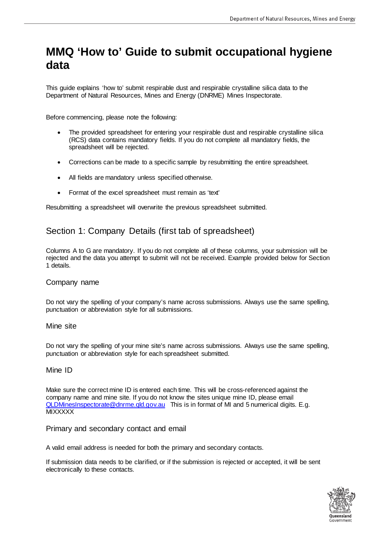# **MMQ 'How to' Guide to submit occupational hygiene data**

This guide explains 'how to' submit respirable dust and respirable crystalline silica data to the Department of Natural Resources, Mines and Energy (DNRME) Mines Inspectorate.

Before commencing, please note the following:

- The provided spreadsheet for entering your respirable dust and respirable crystalline silica (RCS) data contains mandatory fields. If you do not complete all mandatory fields, the spreadsheet will be rejected.
- Corrections can be made to a specific sample by resubmitting the entire spreadsheet.
- All fields are mandatory unless specified otherwise.
- Format of the excel spreadsheet must remain as 'text'

Resubmitting a spreadsheet will overwrite the previous spreadsheet submitted.

# Section 1: Company Details (first tab of spreadsheet)

Columns A to G are mandatory. If you do not complete all of these columns, your submission will be rejected and the data you attempt to submit will not be received. Example provided below for Section 1 details.

#### Company name

Do not vary the spelling of your company's name across submissions. Always use the same spelling, punctuation or abbreviation style for all submissions.

#### Mine site

Do not vary the spelling of your mine site's name across submissions. Always use the same spelling, punctuation or abbreviation style for each spreadsheet submitted.

#### Mine ID

Make sure the correct mine ID is entered each time. This will be cross-referenced against the company name and mine site. If you do not know the sites unique mine ID, please email [QLDMinesInspectorate@dnrme.qld.gov.au](mailto:QLDMinesInspectorate@dnrme.qld.gov.au) This is in format of MI and 5 numerical digits. E.g. **MIXXXXX** 

#### Primary and secondary contact and email

A valid email address is needed for both the primary and secondary contacts.

If submission data needs to be clarified, or if the submission is rejected or accepted, it will be sent electronically to these contacts.

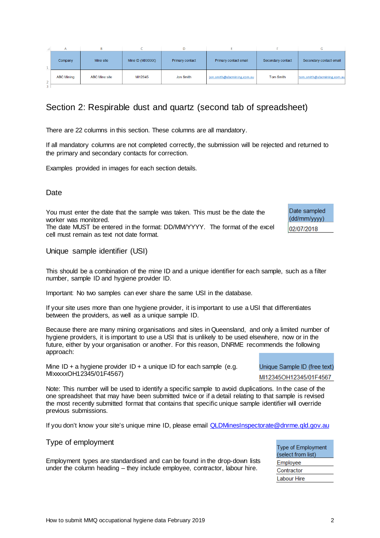|                         | Nine ID + a hygiene provider ID + a unique ID for each sample (e.g. | Unique Sample ID (fre |
|-------------------------|---------------------------------------------------------------------|-----------------------|
| MIxxxxXOH12345/01F4567) |                                                                     | MI12345OH12345/01F    |
|                         |                                                                     |                       |

Note: This number will be used to identify a specific sample to avoid duplications. In the case of the

one spreadsheet that may have been submitted twice or if a detail relating to that sample is revised the most recently submitted format that contains that specific unique sample identifier will override previous submissions.

If you don't know your site's unique mine ID, please email [QLDMinesInspectorate@dnrme.qld.gov.au](mailto:QLDMinesInspectorate@dnrme.qld.gov.au)

## Type of employment

Employment types are standardised and can be found in the drop-down lists under the column heading – they include employee, contractor, labour hire.

| How to submit MMQ occupational hygiene data February 2019 |  |
|-----------------------------------------------------------|--|
|                                                           |  |

# Section 2: Respirable dust and quartz (second tab of spreadsheet)

There are 22 columns in this section. These columns are all mandatory.

If all mandatory columns are not completed correctly, the submission will be rejected and returned to the primary and secondary contacts for correction.

Examples provided in images for each section details.

# **Date**

You must enter the date that the sample was taken. This must be the date the worker was monitored. The date MUST be entered in the format: DD/MM/YYYY. The format of the excel

cell must remain as text not date format.

## Unique sample identifier (USI)

This should be a combination of the mine ID and a unique identifier for each sample, such as a filter number, sample ID and hygiene provider ID.

Important: No two samples can ever share the same USI in the database.

If your site uses more than one hygiene provider, it is important to use a USI that differentiates between the providers, as well as a unique sample ID.

Because there are many mining organisations and sites in Queensland, and only a limited number of hygiene providers, it is important to use a USI that is unlikely to be used elsewhere, now or in the future, either by your organisation or another. For this reason, DNRME recommends the following approach:

Mine ID + a hygiene provider ID + a unique ID for each sample (e.g.

e text)

-4567

Date sampled (dd/mm/yyyy) 02/07/2018



| Company           | Mine site            | Mine ID (MIXXXXX) | Primary contact | Primary contact email      | Secondary contact | Secondary contact em    |
|-------------------|----------------------|-------------------|-----------------|----------------------------|-------------------|-------------------------|
| <b>ABC Mining</b> | <b>ABC Mine site</b> | MI12345           | Jon Smith       | jon.smith@abcmining.com.au | <b>Tom Smith</b>  | tom.smith@abcmining.cor |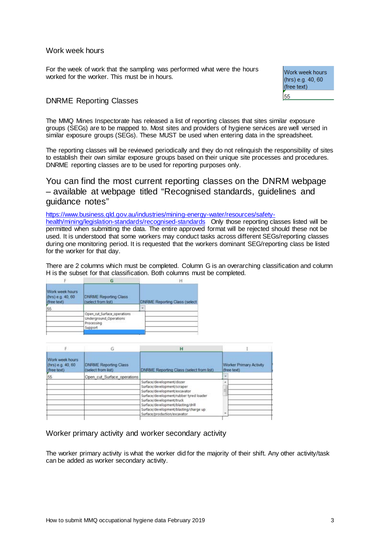#### Work week hours

For the week of work that the sampling was performed what were the hours worked for the worker. This must be in hours.

Work week hours (hrs) e.g. 40, 60 (free text) 55

### DNRME Reporting Classes

The MMQ Mines Inspectorate has released a list of reporting classes that sites similar exposure groups (SEGs) are to be mapped to. Most sites and providers of hygiene services are well versed in similar exposure groups (SEGs). These MUST be used when entering data in the spreadsheet.

The reporting classes will be reviewed periodically and they do not relinquish the responsibility of sites to establish their own similar exposure groups based on their unique site processes and procedures. DNRME reporting classes are to be used for reporting purposes only.

You can find the most current reporting classes on the DNRM webpage – available at webpage titled "Recognised standards, guidelines and guidance notes"

[https://www.business.qld.gov.au/industries/mining-energy-water/resources/safety](https://www.business.qld.gov.au/industries/mining-energy-water/resources/safety-health/mining/legislation-standards/recognised-standards)[health/mining/legislation-standards/recognised-standards](https://www.business.qld.gov.au/industries/mining-energy-water/resources/safety-health/mining/legislation-standards/recognised-standards) Only those reporting classes listed will be permitted when submitting the data. The entire approved format will be rejected should these not be used. It is understood that some workers may conduct tasks across different SEGs/reporting classes during one monitoring period. It is requested that the workers dominant SEG/reporting class be listed for the worker for that day.

There are 2 columns which must be completed. Column G is an overarching classification and column H is the subset for that classification. Both columns must be completed.

|                                                     | G                                                                              |  | н                                    |
|-----------------------------------------------------|--------------------------------------------------------------------------------|--|--------------------------------------|
| Work week hours<br>(hrs) e.g. 40, 60<br>(free text) | <b>DNRME Reporting Class</b><br>(select from list)                             |  | <b>DNRME Reporting Class (select</b> |
| 55                                                  |                                                                                |  |                                      |
|                                                     | Open cut Surface operations<br>Underground Operations<br>Processing<br>Support |  |                                      |

| E                                                    | G                                                   | Ĥ                                                                                                                                                                                                                                                                                 |                                               |  |
|------------------------------------------------------|-----------------------------------------------------|-----------------------------------------------------------------------------------------------------------------------------------------------------------------------------------------------------------------------------------------------------------------------------------|-----------------------------------------------|--|
| Work week hours<br>(hrs) e.g. 40, 60<br>lifree text) | <b>DNRME Reporting Class</b><br>(select from list). | DNRME Reporting Class (select from list)                                                                                                                                                                                                                                          | <b>Worker Primary Activity</b><br>(free text) |  |
| 55                                                   | Open cut Surface operations                         |                                                                                                                                                                                                                                                                                   | $\rightarrow$                                 |  |
|                                                      |                                                     | Surface/development/dozer<br>Surface/development/scraper<br>Surface/development/excavator<br>Surface/development/rubber tyred loader<br>Surface/development/truck<br>Surface/development/blasting/drill<br>Surface/development/blasting/charge up<br>Surface/production/excavator |                                               |  |

Worker primary activity and worker secondary activity

The worker primary activity is what the worker did for the majority of their shift. Any other activity/task can be added as worker secondary activity.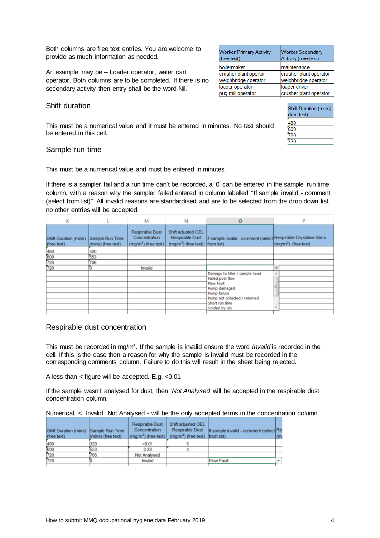Both columns are free text entries. You are welcome to provide as much information as needed.

An example may be – Loader operator, water cart operator. Both columns are to be completed. If there is no secondary activity then entry shall be the word Nil.

#### Shift duration

This must be a numerical value and it must be entered in minutes. No text should be entered in this cell.

#### Sample run time

This must be a numerical value and must be entered in minutes.

If there is a sampler fail and a run time can't be recorded, a '0' can be entered in the sample run time column, with a reason why the sampler failed entered in column labelled "If sample invalid - comment (select from list)". All invalid reasons are standardised and are to be selected from the drop down list, no other entries will be accepted.

| κ                                    |                                       | М                                                         | Ν                                                              | $\mathbf{o}$                                                                   |                                         |
|--------------------------------------|---------------------------------------|-----------------------------------------------------------|----------------------------------------------------------------|--------------------------------------------------------------------------------|-----------------------------------------|
| Shift Duration (mins)<br>(free text) | Sample Run Time<br>(mins) (free text) | Respirable Dust<br>Concentration<br>$(mq/m3)$ (free text) | Shift adjusted OEL<br>Respirable Dust<br>$(mq/m3)$ (free text) | If sample invalid - comment (select Respirable Crystaline Silica<br>from list) | $\sim$ (mg/m <sup>3</sup> ) (free text) |
| 480<br>600<br>720<br>720             | 320                                   |                                                           |                                                                |                                                                                |                                         |
|                                      | 653                                   |                                                           |                                                                |                                                                                |                                         |
|                                      | 706                                   |                                                           |                                                                |                                                                                |                                         |
|                                      |                                       | Invalid                                                   |                                                                |                                                                                |                                         |
|                                      |                                       |                                                           |                                                                | Damage to filter / sample head                                                 |                                         |
|                                      |                                       |                                                           |                                                                | Failed post flow                                                               |                                         |
|                                      |                                       |                                                           |                                                                | Flow Fault                                                                     |                                         |
|                                      |                                       |                                                           |                                                                | Pump damaged                                                                   |                                         |
|                                      |                                       |                                                           |                                                                | Pump failure                                                                   |                                         |
|                                      |                                       |                                                           |                                                                | Pump not collected / returned<br>Short run time                                |                                         |
|                                      |                                       |                                                           |                                                                | Voided by lab                                                                  |                                         |
|                                      |                                       |                                                           |                                                                |                                                                                |                                         |

#### Respirable dust concentration

This must be recorded in mg/m3. If the sample is invalid ensure the word *Invalid* is recorded in the cell. If this is the case then a reason for why the sample is invalid must be recorded in the corresponding comments column. Failure to do this will result in the sheet being rejected.

A less than < figure will be accepted. E.g. <0.01

If the sample wasn't analysed for dust, then '*Not Analysed'* will be accepted in the respirable dust concentration column.

Numerical, <, Invalid, Not Analysed - will be the only accepted terms in the concentration column.

| Shift Duration (mins)<br>(free text) | Sample Run Time<br>(mins) (free text) | <b>Respirable Dust</b><br><b>Concentration</b><br>$(ma/m3)$ (free text) | Shift adjusted OEL<br><b>Respirable Dust</b><br>$(mq/m3)$ (free text) | If sample invalid - comment (select Re<br>from list) | (m |
|--------------------------------------|---------------------------------------|-------------------------------------------------------------------------|-----------------------------------------------------------------------|------------------------------------------------------|----|
| 480                                  | 320                                   | < 0.01                                                                  |                                                                       |                                                      |    |
| 600<br>720                           | 553                                   | 3.28                                                                    |                                                                       |                                                      |    |
|                                      | 706                                   | Not Analysed                                                            |                                                                       |                                                      |    |
| 720                                  |                                       | Invalid                                                                 |                                                                       | <b>Flow Fault</b>                                    |    |

| <b>Worker Primary Activity</b><br>(free text) | <b>Worker Secondary</b><br>Activity (free text) |
|-----------------------------------------------|-------------------------------------------------|
| boilermaker                                   | maintenance                                     |
| crusher plant opertor                         | crusher plant operator                          |
| weighbridge operator                          | weighbridge operator                            |
| loader operator                               | loader driver                                   |
| pug mill operator                             | crusher plant operator                          |
|                                               |                                                 |

| <b>Shift Duration (mins)</b><br>(free text) |
|---------------------------------------------|
| 480                                         |
| 600                                         |
| 720                                         |
|                                             |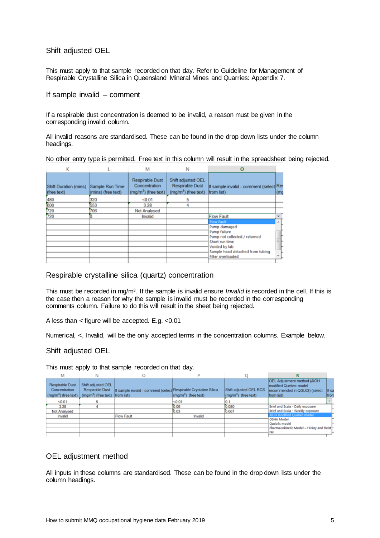Shift adjusted OEL

This must apply to that sample recorded on that day. Refer to Guideline for Management of Respirable Crystalline Silica in Queensland Mineral Mines and Quarries: Appendix 7.

If sample invalid – comment

If a respirable dust concentration is deemed to be invalid, a reason must be given in the corresponding invalid column.

All invalid reasons are standardised. These can be found in the drop down lists under the column headings.

No other entry type is permitted. Free text in this column will result in the spreadsheet being rejected.

|                                      |                                       | м                                                         | N                                                                     | Ο                                                                                                                                                         |      |
|--------------------------------------|---------------------------------------|-----------------------------------------------------------|-----------------------------------------------------------------------|-----------------------------------------------------------------------------------------------------------------------------------------------------------|------|
| Shift Duration (mins)<br>(free text) | Sample Run Time<br>(mins) (free text) | Respirable Dust<br>Concentration<br>$(mq/m3)$ (free text) | Shift adjusted OEL<br><b>Respirable Dust</b><br>$(mq/m3)$ (free text) | If sample invalid - comment (select Res<br>from list)                                                                                                     | l(ma |
| 480                                  | 320                                   | < 0.01                                                    | 5                                                                     |                                                                                                                                                           |      |
| 600<br>720                           | 653                                   | 3.28                                                      | 4                                                                     |                                                                                                                                                           |      |
|                                      | 706                                   | Not Analysed                                              |                                                                       |                                                                                                                                                           |      |
| 720                                  |                                       | Invalid                                                   |                                                                       | <b>Flow Fault</b>                                                                                                                                         |      |
|                                      |                                       |                                                           |                                                                       | <b>Flow Fault</b>                                                                                                                                         |      |
|                                      |                                       |                                                           |                                                                       | Pump damaged<br>Pump failure<br>Pump not collected / returned<br>Short run time<br>Voided by lab<br>Sample head detached from tubing<br>Filter overloaded | ΞL.  |
|                                      |                                       |                                                           |                                                                       |                                                                                                                                                           |      |

#### Respirable crystalline silica (quartz) concentration

This must be recorded in mg/m3. If the sample is invalid ensure *Invalid* is recorded in the cell. If this is the case then a reason for why the sample is invalid must be recorded in the corresponding comments column. Failure to do this will result in the sheet being rejected.

A less than < figure will be accepted. E.g. <0.01

Numerical, <, Invalid, will be the only accepted terms in the concentration columns. Example below.

#### Shift adjusted OEL

This must apply to that sample recorded on that day.

| М                                                                                                                                                                                                                                                                                                           |                                                                                                                                                               |
|-------------------------------------------------------------------------------------------------------------------------------------------------------------------------------------------------------------------------------------------------------------------------------------------------------------|---------------------------------------------------------------------------------------------------------------------------------------------------------------|
| Shift adjusted OEL<br><b>Respirable Dust</b><br>If sample invalid - comment (select Respirable Crystaline Silica<br>Concentration<br>Respirable Dust<br>$\sim$ (mg/m <sup>3</sup> ) (free text)<br>(mg/m <sup>3</sup> ) (free text) from list)<br>$(mg/m3)$ (free text)<br>(mg/m <sup>3</sup> ) (free text) | <b>OEL Adjustment method (AIOH</b><br>modified Quebec model<br>Shift adjusted OEL RCS<br>recommended in QGL02) (select<br>If sa<br>from list)<br><b>Ifrom</b> |
| < 0.01<br>< 0.01                                                                                                                                                                                                                                                                                            |                                                                                                                                                               |
| 3.28<br>0.080<br>0.06                                                                                                                                                                                                                                                                                       | Brief and Scala - Daily exposure                                                                                                                              |
| 0.03<br>0.067<br>Not Analysed                                                                                                                                                                                                                                                                               | Brief and Scala - Weekly exposure                                                                                                                             |
| <b>Flow Fault</b><br>Invalid<br>Invalid                                                                                                                                                                                                                                                                     | AIOH modified Quebéc model                                                                                                                                    |
|                                                                                                                                                                                                                                                                                                             | <b>OSHA Model</b>                                                                                                                                             |
|                                                                                                                                                                                                                                                                                                             | Quebéc model                                                                                                                                                  |
|                                                                                                                                                                                                                                                                                                             | Pharmacokinetic Model - Hickey and Reist                                                                                                                      |
|                                                                                                                                                                                                                                                                                                             | Nil                                                                                                                                                           |

#### OEL adjustment method

All inputs in these columns are standardised. These can be found in the drop down lists under the column headings.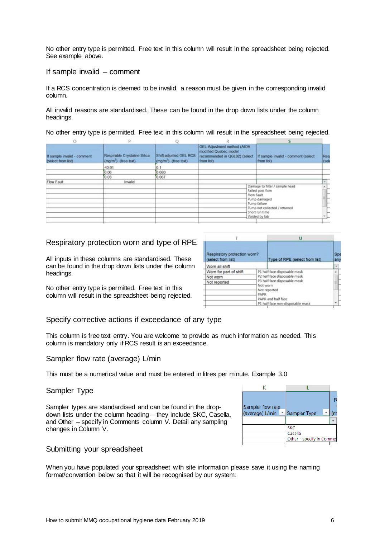No other entry type is permitted. Free text in this column will result in the spreadsheet being rejected. See example above.

#### If sample invalid – comment

If a RCS concentration is deemed to be invalid, a reason must be given in the corresponding invalid column.

All invalid reasons are standardised. These can be found in the drop down lists under the column headings.

No other entry type is permitted. Free text in this column will result in the spreadsheet being rejected.

|                                                   | <b>D</b>                                            |                                                            |                                                                                                      |                                                                                                                                                                      |             |
|---------------------------------------------------|-----------------------------------------------------|------------------------------------------------------------|------------------------------------------------------------------------------------------------------|----------------------------------------------------------------------------------------------------------------------------------------------------------------------|-------------|
| If sample invalid - comment<br>(select from list) | Respirable Crystaline Silica<br>(mg/m") (free text) | Shift adjusted OEL RCS<br>(mg/m <sup>3</sup> ) (free text) | OEL Adjustment method (AIOH)<br>modified Quebec model<br>recommended in QGL02) (select<br>from list) | If sample invalid - comment (select<br>from list)                                                                                                                    | Res<br>(sek |
|                                                   | 50.01                                               |                                                            |                                                                                                      |                                                                                                                                                                      |             |
|                                                   | 0.06                                                | 0.080                                                      |                                                                                                      |                                                                                                                                                                      |             |
|                                                   | 0.03                                                | 0.067                                                      |                                                                                                      |                                                                                                                                                                      |             |
| Flow Fault                                        | Invalid                                             | œ                                                          |                                                                                                      |                                                                                                                                                                      |             |
|                                                   |                                                     |                                                            |                                                                                                      | Damage to filter / sample head<br>Failed post flow<br>Flow Fault<br>Pump damaged<br>Pump failure<br>Pump not collected / returned<br>Short run time<br>Voided by lab |             |

## Respiratory protection worn and type of RPE

All inputs in these columns are standardised. These can be found in the drop down lists under the column headings.

No other entry type is permitted. Free text in this column will result in the spreadsheet being rejected.

| Respiratory protection worn?<br>(select from list) |                              | u                                |           |
|----------------------------------------------------|------------------------------|----------------------------------|-----------|
|                                                    |                              | Type of RPE (select from list)   | Sp<br>any |
| Worn all shift                                     |                              |                                  |           |
| Worn for part of shift                             |                              | P1 half face disposable mask     |           |
| Not worn                                           | P2 half face disposable mask |                                  |           |
| Not reported                                       |                              | P3 half face disposable mask     | Ξ         |
|                                                    | Not worn                     | Not reported                     |           |
|                                                    | PAPR                         |                                  |           |
|                                                    |                              | PAPR and half face               |           |
|                                                    |                              | P1 half face non-disposable mask |           |

#### Specify corrective actions if exceedance of any type

This column is free text entry. You are welcome to provide as much information as needed. This column is mandatory only if RCS result is an exceedance.

#### Sampler flow rate (average) L/min

This must be a numerical value and must be entered in litres per minute. Example 3.0

#### Sampler Type

Sampler types are standardised and can be found in the dropdown lists under the column heading – they include SKC, Casella, and Other – specify in Comments column V. Detail any sampling changes in Column V.

| Sampler flow rate<br>(average) L/min | Sampler Type                                      |  |
|--------------------------------------|---------------------------------------------------|--|
|                                      |                                                   |  |
|                                      | <b>SKC</b><br>Casella<br>Other - specify in Comme |  |

#### Submitting your spreadsheet

When you have populated your spreadsheet with site information please save it using the naming format/convention below so that it will be recognised by our system: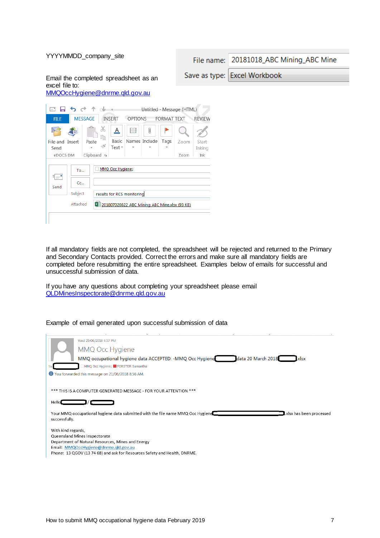| File name: 20181018_ABC Mining_ABC Mine                          |
|------------------------------------------------------------------|
| Save as type: Excel Workbook                                     |
|                                                                  |
| Untitled - Message (HTML)<br><b>FORMAT TEXT</b><br><b>REVIEW</b> |
|                                                                  |
| Zoom<br>Start<br>Inking                                          |
| Ink<br>Zoom                                                      |
|                                                                  |
|                                                                  |
|                                                                  |
| 201807020822 ABC Mining ABC Mine.xlsx (93 KB)                    |
|                                                                  |
|                                                                  |

If all mandatory fields are not completed, the spreadsheet will be rejected and returned to the Primary and Secondary Contacts provided. Correct the errors and make sure all mandatory fields are completed before resubmitting the entire spreadsheet. Examples below of emails for successful and unsuccessful submission of data.

If you have any questions about completing your spreadsheet please email [QLDMinesInspectorate@dnrme.qld.gov.au](mailto:QLDMinesInspectorate@dnrme.qld.gov.au)

Example of email generated upon successful submission of data

| $\sim$<br>Wed 20/06/2018 4:57 PM<br>MMQ Occ Hygiene<br>data 20 March 2018<br>MMQ occupational hygiene data ACCEPTED: -MMQ Occ Hygiene<br>.xlsx<br>MMQ Occ Hygiene; <b>Z</b> FORSTER Samantha<br>You forwarded this message on 21/06/2018 8:56 AM. |
|---------------------------------------------------------------------------------------------------------------------------------------------------------------------------------------------------------------------------------------------------|
| *** THIS IS A COMPUTER GENERATED MESSAGE - FOR YOUR ATTENTION ***<br>Hello<br>Your MMQ occupational hygiene data submitted with the file name MMQ Occ Hygiene<br>xlsx has been processed.<br>successfully.                                        |
| With kind regards,<br>Queensland Mines Inspectorate<br>Department of Natural Resources, Mines and Energy<br>Email: MMQOccHygiene@dnrme.gld.gov.au<br>Phone: 13 QGOV (13 74 68) and ask for Resources Safety and Health, DNRME.                    |